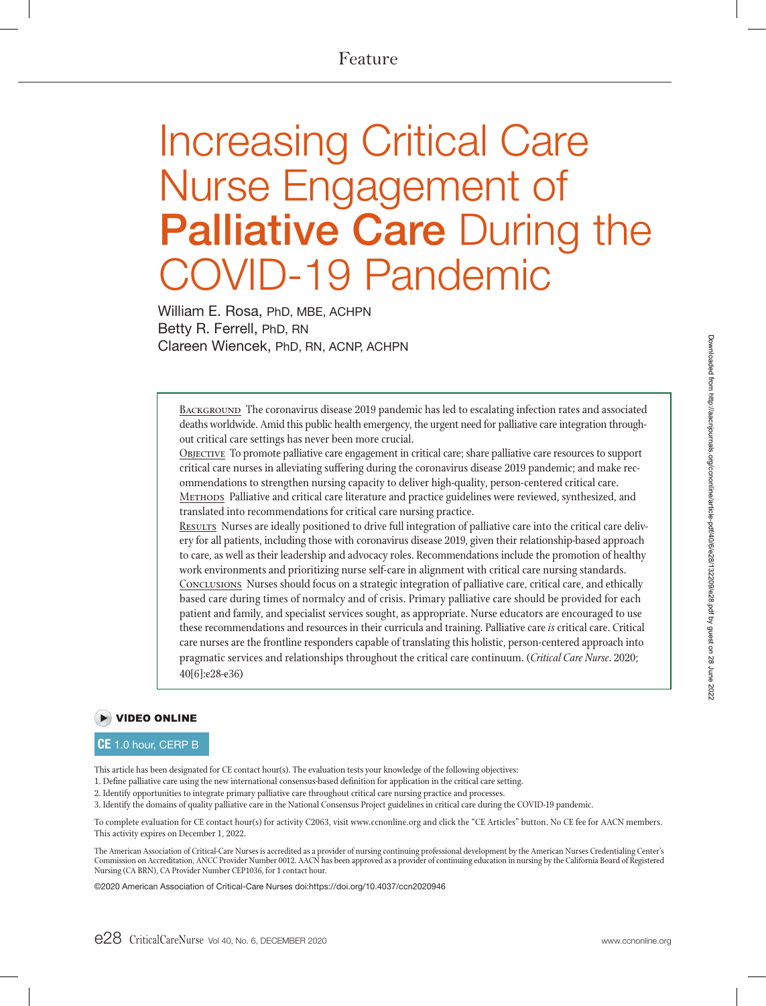# Feature

# Increasing Critical Care Nurse Engagement of Palliative Care During the **OVID-19 Pandemic**

William E. Rosa, PhD, MBE, ACHPN Betty R. Ferrell, PhD, RN Clareen Wiencek, PhD, RN, ACNP, ACHPN

BACKGROUND The coronavirus disease 2019 pandemic has led to escalating infection rates and associated deaths worldwide. Amid this public health emergency, the urgent need for palliative care integration throughout critical care settings has never been more crucial.

OBJECTIVE To promote palliative care engagement in critical care; share palliative care resources to support critical care nurses in alleviating suffering during the coronavirus disease 2019 pandemic; and make recommendations to strengthen nursing capacity to deliver high-quality, person-centered critical care. METHODS Palliative and critical care literature and practice guidelines were reviewed, synthesized, and

translated into recommendations for critical care nursing practice. RESULTS Nurses are ideally positioned to drive full integration of palliative care into the critical care delivery for all patients, including those with coronavirus disease 2019, given their relationship-based approach to care, as well as their leadership and advocacy roles. Recommendations include the promotion of healthy work environments and prioritizing nurse self-care in alignment with critical care nursing standards. Conclusions Nurses should focus on a strategic integration of palliative care, critical care, and ethically based care during times of normalcy and of crisis. Primary palliative care should be provided for each patient and family, and specialist services sought, as appropriate. Nurse educators are encouraged to use these recommendations and resources in their curricula and training. Palliative care *is* critical care. Critical care nurses are the frontline responders capable of translating this holistic, person-centered approach into pragmatic services and relationships throughout the critical care continuum. (*Critical Care Nurse*. 2020; 40[6]:e28-e36)

# VIDEO ONLINE

## CE 1.0 hour, CERP B

This article has been designated for CE contact hour(s). The evaluation tests your knowledge of the following objectives:

1. Define palliative care using the new international consensus-based definition for application in the critical care setting.

2. Identify opportunities to integrate primary palliative care throughout critical care nursing practice and processes.

3. Identify the domains of quality palliative care in the National Consensus Project guidelines in critical care during the COVID-19 pandemic.

To complete evaluation for CE contact hour(s) for activity C2063, visit www.ccnonline.org and click the "CE Articles" button. No CE fee for AACN members. This activity expires on December 1, 2022.

The American Association of Critical-Care Nurses is accredited as a provider of nursing continuing professional development by the American Nurses Credentialing Center's Commission on Accreditation, ANCC Provider Number 0012. AACN has been approved as a provider of continuing education in nursing by the California Board of Registered Nursing (CA BRN), CA Provider Number CEP1036, for 1 contact hour.

©2020 American Association of Critical-Care Nurses doi:https://doi.org/10.4037/ccn2020946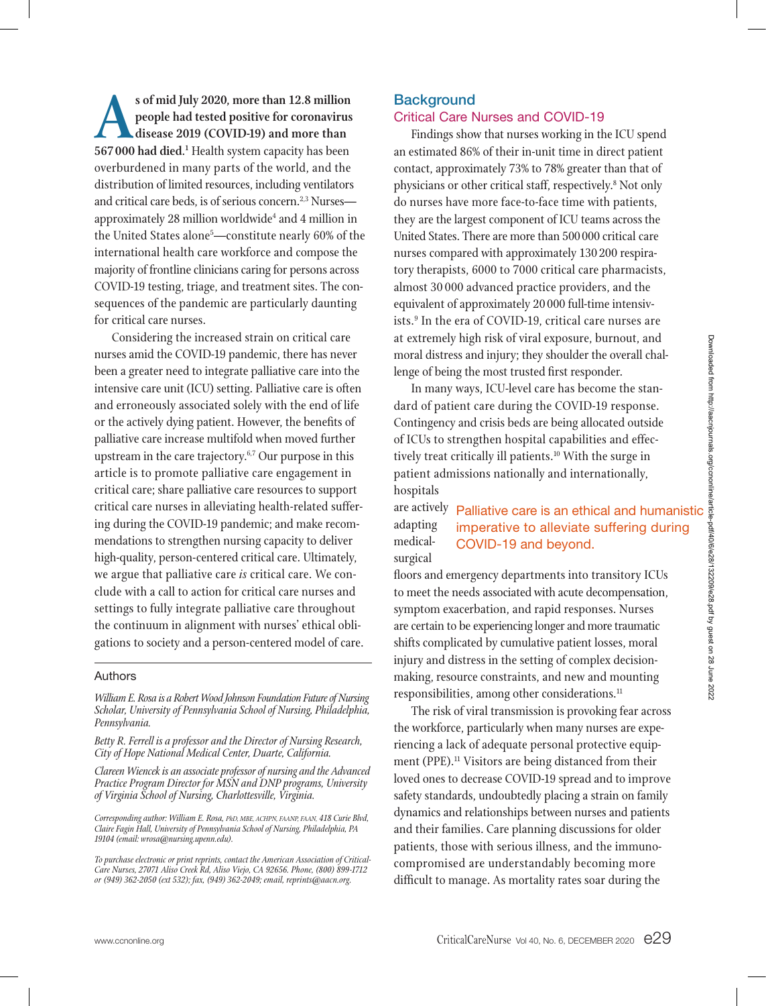s of mid July 2020, more than 12.8 million<br>
people had tested positive for coronavirus<br>
disease 2019 (COVID-19) and more than<br>
567,000 had died <sup>1</sup> Health system canacity has been **people had tested positive for coronavirus disease 2019 (COVID-19) and more than**  567000 had died.<sup>1</sup> Health system capacity has been overburdened in many parts of the world, and the distribution of limited resources, including ventilators and critical care beds, is of serious concern.<sup>2,3</sup> Nurses approximately 28 million worldwide<sup>4</sup> and 4 million in the United States alone<sup>5</sup>—constitute nearly 60% of the international health care workforce and compose the majority of frontline clinicians caring for persons across COVID-19 testing, triage, and treatment sites. The consequences of the pandemic are particularly daunting for critical care nurses.

Considering the increased strain on critical care nurses amid the COVID-19 pandemic, there has never been a greater need to integrate palliative care into the intensive care unit (ICU) setting. Palliative care is often and erroneously associated solely with the end of life or the actively dying patient. However, the benefits of palliative care increase multifold when moved further upstream in the care trajectory. $6,7$  Our purpose in this article is to promote palliative care engagement in critical care; share palliative care resources to support critical care nurses in alleviating health-related suffering during the COVID-19 pandemic; and make recommendations to strengthen nursing capacity to deliver high-quality, person-centered critical care. Ultimately, we argue that palliative care *is* critical care. We conclude with a call to action for critical care nurses and settings to fully integrate palliative care throughout the continuum in alignment with nurses' ethical obligations to society and a person-centered model of care.

## Authors

*William E. Rosa is a Robert Wood Johnson Foundation Future of Nursing Scholar, University of Pennsylvania School of Nursing, Philadelphia, Pennsylvania.* 

*Betty R. Ferrell is a professor and the Director of Nursing Research, City of Hope National Medical Center, Duarte, California.* 

*Clareen Wiencek is an associate professor of nursing and the Advanced Practice Program Director for MSN and DNP programs, University of Virginia School of Nursing, Charlottesville, Virginia.*

*Corresponding author: William E. Rosa, PhD, MBE, ACHPN, FAANP, FAAN, 418 Curie Blvd, Claire Fagin Hall, University of Pennsylvania School of Nursing, Philadelphia, PA 19104 (email: wrosa@nursing.upenn.edu).* 

*To purchase electronic or print reprints, contact the American Association of Critical-Care Nurses, 27071 Aliso Creek Rd, Aliso Viejo, CA 92656. Phone, (800) 899-1712 or (949) 362-2050 (ext 532); fax, (949) 362-2049; email, reprints@aacn.org.*

## **Background**

## Critical Care Nurses and COVID-19

Findings show that nurses working in the ICU spend an estimated 86% of their in-unit time in direct patient contact, approximately 73% to 78% greater than that of physicians or other critical staff, respectively.8 Not only do nurses have more face-to-face time with patients, they are the largest component of ICU teams across the United States. There are more than 500000 critical care nurses compared with approximately 130 200 respiratory therapists, 6000 to 7000 critical care pharmacists, almost 30 000 advanced practice providers, and the equivalent of approximately 20 000 full-time intensivists.9 In the era of COVID-19, critical care nurses are at extremely high risk of viral exposure, burnout, and moral distress and injury; they shoulder the overall challenge of being the most trusted first responder.

In many ways, ICU-level care has become the standard of patient care during the COVID-19 response. Contingency and crisis beds are being allocated outside of ICUs to strengthen hospital capabilities and effectively treat critically ill patients.<sup>10</sup> With the surge in patient admissions nationally and internationally, hospitals

#### are actively Palliative care is an ethical and humanistic adapting medicalsurgical imperative to alleviate suffering during COVID-19 and beyond.

floors and emergency departments into transitory ICUs to meet the needs associated with acute decompensation, symptom exacerbation, and rapid responses. Nurses are certain to be experiencing longer and more traumatic shifts complicated by cumulative patient losses, moral injury and distress in the setting of complex decisionmaking, resource constraints, and new and mounting responsibilities, among other considerations.<sup>11</sup>

The risk of viral transmission is provoking fear across the workforce, particularly when many nurses are experiencing a lack of adequate personal protective equipment (PPE).<sup>11</sup> Visitors are being distanced from their loved ones to decrease COVID-19 spread and to improve safety standards, undoubtedly placing a strain on family dynamics and relationships between nurses and patients and their families. Care planning discussions for older patients, those with serious illness, and the immunocompromised are understandably becoming more difficult to manage. As mortality rates soar during the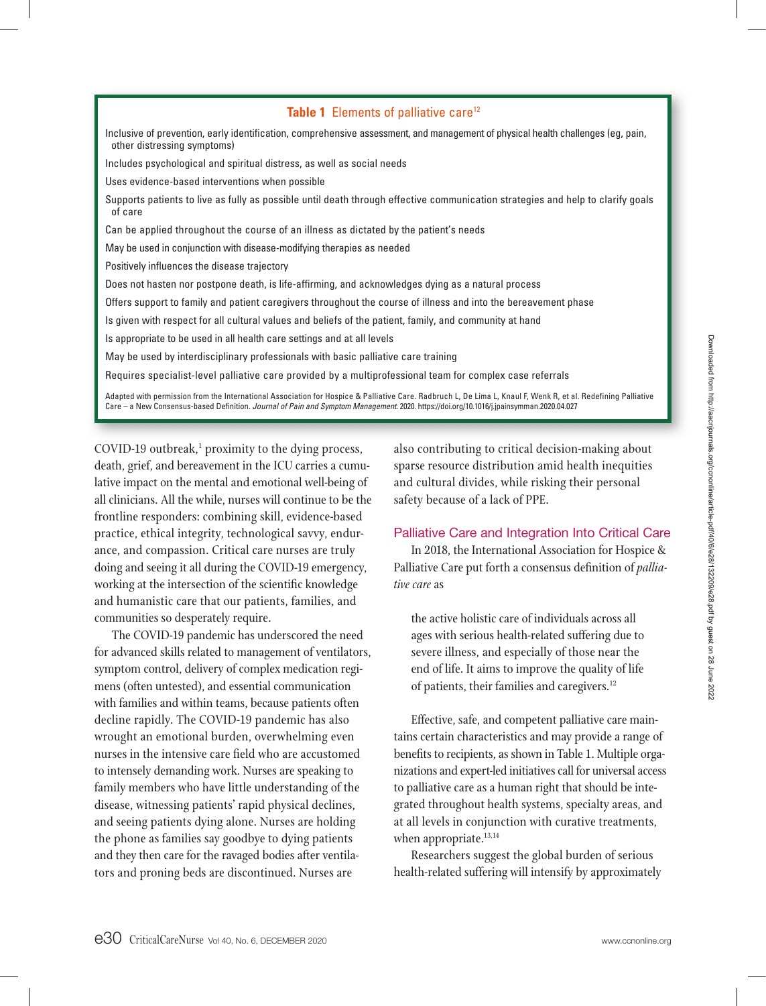# **Table 1** Elements of palliative care<sup>12</sup>

Inclusive of prevention, early identification, comprehensive assessment, and management of physical health challenges (eg, pain, other distressing symptoms)

Includes psychological and spiritual distress, as well as social needs

Uses evidence-based interventions when possible

Supports patients to live as fully as possible until death through effective communication strategies and help to clarify goals of care

Can be applied throughout the course of an illness as dictated by the patient's needs

May be used in conjunction with disease-modifying therapies as needed

Positively influences the disease trajectory

Does not hasten nor postpone death, is life-affirming, and acknowledges dying as a natural process

Offers support to family and patient caregivers throughout the course of illness and into the bereavement phase

Is given with respect for all cultural values and beliefs of the patient, family, and community at hand

Is appropriate to be used in all health care settings and at all levels

May be used by interdisciplinary professionals with basic palliative care training

Requires specialist-level palliative care provided by a multiprofessional team for complex case referrals

Adapted with permission from the International Association for Hospice & Palliative Care. Radbruch L, De Lima L, Knaul F, Wenk R, et al. Redefining Palliative Care - a New Consensus-based Definition. *Journal of Pain and Symptom Management*. 2020. https://doi.org/10.1016/j.jpainsymman.2020.04.027

COVID-19 outbreak,<sup>1</sup> proximity to the dying process, death, grief, and bereavement in the ICU carries a cumulative impact on the mental and emotional well-being of all clinicians. All the while, nurses will continue to be the frontline responders: combining skill, evidence-based practice, ethical integrity, technological savvy, endurance, and compassion. Critical care nurses are truly doing and seeing it all during the COVID-19 emergency, working at the intersection of the scientific knowledge and humanistic care that our patients, families, and communities so desperately require.

The COVID-19 pandemic has underscored the need for advanced skills related to management of ventilators, symptom control, delivery of complex medication regimens (often untested), and essential communication with families and within teams, because patients often decline rapidly. The COVID-19 pandemic has also wrought an emotional burden, overwhelming even nurses in the intensive care field who are accustomed to intensely demanding work. Nurses are speaking to family members who have little understanding of the disease, witnessing patients' rapid physical declines, and seeing patients dying alone. Nurses are holding the phone as families say goodbye to dying patients and they then care for the ravaged bodies after ventilators and proning beds are discontinued. Nurses are

also contributing to critical decision-making about sparse resource distribution amid health inequities and cultural divides, while risking their personal safety because of a lack of PPE.

## Palliative Care and Integration Into Critical Care

In 2018, the International Association for Hospice & Palliative Care put forth a consensus definition of *palliative care* as

the active holistic care of individuals across all ages with serious health-related suffering due to severe illness, and especially of those near the end of life. It aims to improve the quality of life of patients, their families and caregivers.<sup>12</sup>

Effective, safe, and competent palliative care maintains certain characteristics and may provide a range of benefits to recipients, as shown in Table 1. Multiple organizations and expert-led initiatives call for universal access to palliative care as a human right that should be integrated throughout health systems, specialty areas, and at all levels in conjunction with curative treatments, when appropriate.<sup>13,14</sup>

Researchers suggest the global burden of serious health-related suffering will intensify by approximately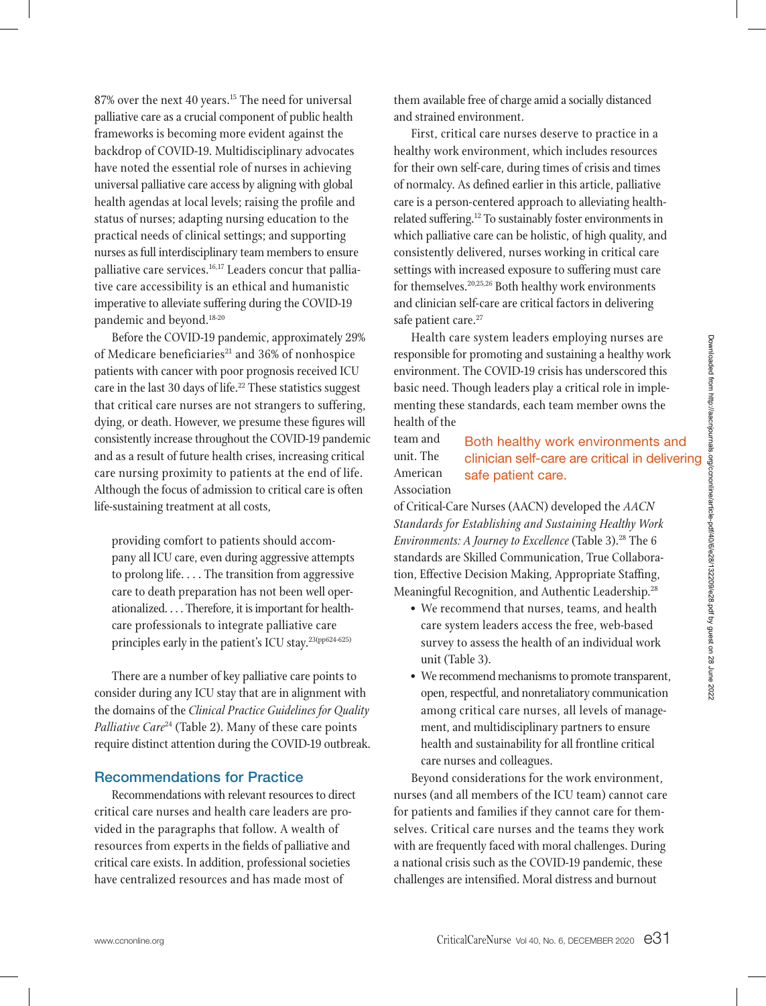87% over the next 40 years.<sup>15</sup> The need for universal palliative care as a crucial component of public health frameworks is becoming more evident against the backdrop of COVID-19. Multidisciplinary advocates have noted the essential role of nurses in achieving universal palliative care access by aligning with global health agendas at local levels; raising the profile and status of nurses; adapting nursing education to the practical needs of clinical settings; and supporting nurses as full interdisciplinary team members to ensure palliative care services.<sup>16,17</sup> Leaders concur that palliative care accessibility is an ethical and humanistic imperative to alleviate suffering during the COVID-19 pandemic and beyond.18-20

Before the COVID-19 pandemic, approximately 29% of Medicare beneficiaries<sup>21</sup> and 36% of nonhospice patients with cancer with poor prognosis received ICU care in the last 30 days of life.<sup>22</sup> These statistics suggest that critical care nurses are not strangers to suffering, dying, or death. However, we presume these figures will consistently increase throughout the COVID-19 pandemic and as a result of future health crises, increasing critical care nursing proximity to patients at the end of life. Although the focus of admission to critical care is often life-sustaining treatment at all costs,

providing comfort to patients should accompany all ICU care, even during aggressive attempts to prolong life. . . . The transition from aggressive care to death preparation has not been well operationalized. . . . Therefore, it is important for healthcare professionals to integrate palliative care principles early in the patient's ICU stay.<sup>23(pp624-625)</sup>

There are a number of key palliative care points to consider during any ICU stay that are in alignment with the domains of the *Clinical Practice Guidelines for Quality*  Palliative Care<sup>24</sup> (Table 2). Many of these care points require distinct attention during the COVID-19 outbreak.

# Recommendations for Practice

Recommendations with relevant resources to direct critical care nurses and health care leaders are provided in the paragraphs that follow. A wealth of resources from experts in the fields of palliative and critical care exists. In addition, professional societies have centralized resources and has made most of

them available free of charge amid a socially distanced and strained environment.

First, critical care nurses deserve to practice in a healthy work environment, which includes resources for their own self-care, during times of crisis and times of normalcy. As defined earlier in this article, palliative care is a person-centered approach to alleviating healthrelated suffering.<sup>12</sup> To sustainably foster environments in which palliative care can be holistic, of high quality, and consistently delivered, nurses working in critical care settings with increased exposure to suffering must care for themselves.20,25,26 Both healthy work environments and clinician self-care are critical factors in delivering safe patient care.<sup>27</sup>

Health care system leaders employing nurses are responsible for promoting and sustaining a healthy work environment. The COVID-19 crisis has underscored this basic need. Though leaders play a critical role in implementing these standards, each team member owns the health of the

#### team and unit. The American Association Both healthy work environments and clinician self-care are critical in delivering safe patient care.

of Critical-Care Nurses (AACN) developed the *AACN Standards for Establishing and Sustaining Healthy Work Environments: A Journey to Excellence* (Table 3).<sup>28</sup> The 6 standards are Skilled Communication, True Collaboration, Effective Decision Making, Appropriate Staffing, Meaningful Recognition, and Authentic Leadership.28

- We recommend that nurses, teams, and health care system leaders access the free, web-based survey to assess the health of an individual work unit (Table 3).
- We recommend mechanisms to promote transparent, open, respectful, and nonretaliatory communication among critical care nurses, all levels of management, and multidisciplinary partners to ensure health and sustainability for all frontline critical care nurses and colleagues.

Beyond considerations for the work environment, nurses (and all members of the ICU team) cannot care for patients and families if they cannot care for themselves. Critical care nurses and the teams they work with are frequently faced with moral challenges. During a national crisis such as the COVID-19 pandemic, these challenges are intensified. Moral distress and burnout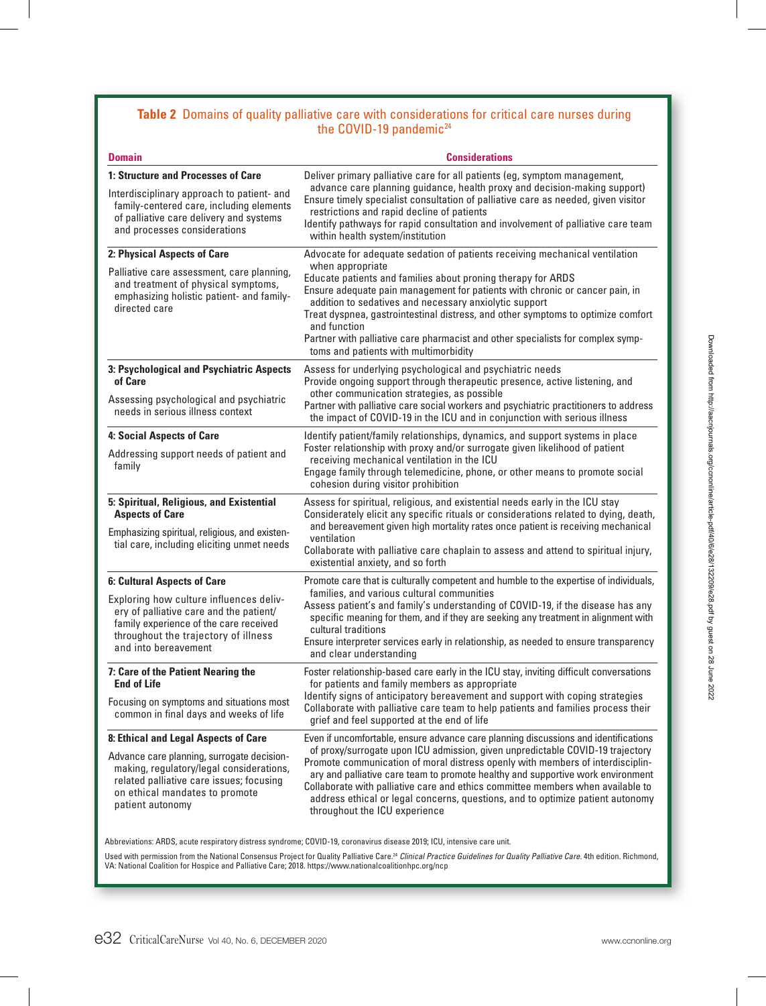# **Table 2** Domains of quality palliative care with considerations for critical care nurses during the COVID-19 pandemic<sup>24</sup>

| <b>Domain</b>                                                                                                                                                                                | <b>Considerations</b>                                                                                                                                                                                                                                                                                                                                                                                                                                      |
|----------------------------------------------------------------------------------------------------------------------------------------------------------------------------------------------|------------------------------------------------------------------------------------------------------------------------------------------------------------------------------------------------------------------------------------------------------------------------------------------------------------------------------------------------------------------------------------------------------------------------------------------------------------|
| 1: Structure and Processes of Care                                                                                                                                                           | Deliver primary palliative care for all patients (eg, symptom management,                                                                                                                                                                                                                                                                                                                                                                                  |
| Interdisciplinary approach to patient- and<br>family-centered care, including elements<br>of palliative care delivery and systems<br>and processes considerations                            | advance care planning guidance, health proxy and decision-making support)<br>Ensure timely specialist consultation of palliative care as needed, given visitor<br>restrictions and rapid decline of patients<br>Identify pathways for rapid consultation and involvement of palliative care team<br>within health system/institution                                                                                                                       |
| 2: Physical Aspects of Care                                                                                                                                                                  | Advocate for adequate sedation of patients receiving mechanical ventilation                                                                                                                                                                                                                                                                                                                                                                                |
| Palliative care assessment, care planning,<br>and treatment of physical symptoms,<br>emphasizing holistic patient- and family-<br>directed care                                              | when appropriate<br>Educate patients and families about proning therapy for ARDS<br>Ensure adequate pain management for patients with chronic or cancer pain, in<br>addition to sedatives and necessary anxiolytic support<br>Treat dyspnea, gastrointestinal distress, and other symptoms to optimize comfort<br>and function<br>Partner with palliative care pharmacist and other specialists for complex symp-<br>toms and patients with multimorbidity |
| 3: Psychological and Psychiatric Aspects<br>of Care                                                                                                                                          | Assess for underlying psychological and psychiatric needs<br>Provide ongoing support through therapeutic presence, active listening, and                                                                                                                                                                                                                                                                                                                   |
| Assessing psychological and psychiatric<br>needs in serious illness context                                                                                                                  | other communication strategies, as possible<br>Partner with palliative care social workers and psychiatric practitioners to address<br>the impact of COVID-19 in the ICU and in conjunction with serious illness                                                                                                                                                                                                                                           |
| 4: Social Aspects of Care                                                                                                                                                                    | Identify patient/family relationships, dynamics, and support systems in place                                                                                                                                                                                                                                                                                                                                                                              |
| Addressing support needs of patient and<br>family                                                                                                                                            | Foster relationship with proxy and/or surrogate given likelihood of patient<br>receiving mechanical ventilation in the ICU<br>Engage family through telemedicine, phone, or other means to promote social<br>cohesion during visitor prohibition                                                                                                                                                                                                           |
| 5: Spiritual, Religious, and Existential<br><b>Aspects of Care</b>                                                                                                                           | Assess for spiritual, religious, and existential needs early in the ICU stay<br>Considerately elicit any specific rituals or considerations related to dying, death,<br>and bereavement given high mortality rates once patient is receiving mechanical                                                                                                                                                                                                    |
| Emphasizing spiritual, religious, and existen-<br>tial care, including eliciting unmet needs                                                                                                 | ventilation<br>Collaborate with palliative care chaplain to assess and attend to spiritual injury,<br>existential anxiety, and so forth                                                                                                                                                                                                                                                                                                                    |
| <b>6: Cultural Aspects of Care</b>                                                                                                                                                           | Promote care that is culturally competent and humble to the expertise of individuals,                                                                                                                                                                                                                                                                                                                                                                      |
| Exploring how culture influences deliv-<br>ery of palliative care and the patient/<br>family experience of the care received<br>throughout the trajectory of illness<br>and into bereavement | families, and various cultural communities<br>Assess patient's and family's understanding of COVID-19, if the disease has any<br>specific meaning for them, and if they are seeking any treatment in alignment with<br>cultural traditions<br>Ensure interpreter services early in relationship, as needed to ensure transparency<br>and clear understanding                                                                                               |
| 7: Care of the Patient Nearing the<br><b>End of Life</b>                                                                                                                                     | Foster relationship-based care early in the ICU stay, inviting difficult conversations<br>for patients and family members as appropriate                                                                                                                                                                                                                                                                                                                   |
| Focusing on symptoms and situations most<br>common in final days and weeks of life                                                                                                           | Identify signs of anticipatory bereavement and support with coping strategies<br>Collaborate with palliative care team to help patients and families process their<br>grief and feel supported at the end of life                                                                                                                                                                                                                                          |
| 8: Ethical and Legal Aspects of Care                                                                                                                                                         | Even if uncomfortable, ensure advance care planning discussions and identifications                                                                                                                                                                                                                                                                                                                                                                        |
| Advance care planning, surrogate decision-<br>making, regulatory/legal considerations,<br>related palliative care issues; focusing<br>on ethical mandates to promote<br>patient autonomy     | of proxy/surrogate upon ICU admission, given unpredictable COVID-19 trajectory<br>Promote communication of moral distress openly with members of interdisciplin-<br>ary and palliative care team to promote healthy and supportive work environment<br>Collaborate with palliative care and ethics committee members when available to<br>address ethical or legal concerns, questions, and to optimize patient autonomy<br>throughout the ICU experience  |

Abbreviations: ARDS, acute respiratory distress syndrome; COVID-19, coronavirus disease 2019; ICU, intensive care unit.

Used with permission from the National Consensus Project for Quality Palliative Care.24 *Clinical Practice Guidelines for Quality Palliative Care.* 4th edition. Richmond, VA: National Coalition for Hospice and Palliative Care; 2018. https://www.nationalcoalitionhpc.org/ncp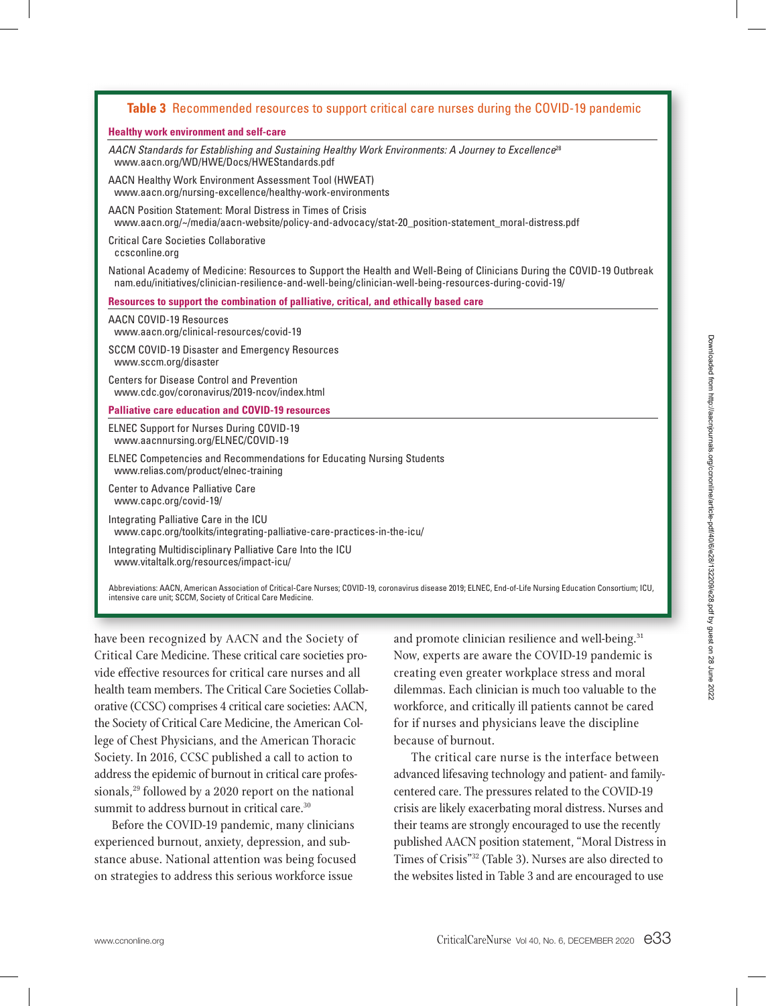## **Table 3** Recommended resources to support critical care nurses during the COVID-19 pandemic

## **Healthy work environment and self-care**

*AACN Standards for Establishing and Sustaining Healthy Work Environments: A Journey to Excellence*<sup>28</sup> www.aacn.org/WD/HWE/Docs/HWEStandards.pdf

AACN Healthy Work Environment Assessment Tool (HWEAT) www.aacn.org/nursing-excellence/healthy-work-environments

AACN Position Statement: Moral Distress in Times of Crisis www.aacn.org/~/media/aacn-website/policy-and-advocacy/stat-20\_position-statement\_moral-distress.pdf

Critical Care Societies Collaborative ccsconline.org

National Academy of Medicine: Resources to Support the Health and Well-Being of Clinicians During the COVID-19 Outbreak nam.edu/initiatives/clinician-resilience-and-well-being/clinician-well-being-resources-during-covid-19/

**Resources to support the combination of palliative, critical, and ethically based care**

AACN COVID-19 Resources www.aacn.org/clinical-resources/covid-19

SCCM COVID-19 Disaster and Emergency Resources www.sccm.org/disaster

Centers for Disease Control and Prevention www.cdc.gov/coronavirus/2019-ncov/index.html

### **Palliative care education and COVID-19 resources**

ELNEC Support for Nurses During COVID-19 www.aacnnursing.org/ELNEC/COVID-19

ELNEC Competencies and Recommendations for Educating Nursing Students www.relias.com/product/elnec-training

Center to Advance Palliative Care www.capc.org/covid-19/

Integrating Palliative Care in the ICU www.capc.org/toolkits/integrating-palliative-care-practices-in-the-icu/

Integrating Multidisciplinary Palliative Care Into the ICU www.vitaltalk.org/resources/impact-icu/

Abbreviations: AACN, American Association of Critical-Care Nurses; COVID-19, coronavirus disease 2019; ELNEC, End-of-Life Nursing Education Consortium; ICU, intensive care unit; SCCM, Society of Critical Care Medicine.

have been recognized by AACN and the Society of Critical Care Medicine. These critical care societies provide effective resources for critical care nurses and all health team members. The Critical Care Societies Collaborative (CCSC) comprises 4 critical care societies: AACN, the Society of Critical Care Medicine, the American College of Chest Physicians, and the American Thoracic Society. In 2016, CCSC published a call to action to address the epidemic of burnout in critical care professionals,<sup>29</sup> followed by a 2020 report on the national summit to address burnout in critical care.<sup>30</sup>

Before the COVID-19 pandemic, many clinicians experienced burnout, anxiety, depression, and substance abuse. National attention was being focused on strategies to address this serious workforce issue

and promote clinician resilience and well-being.<sup>31</sup> Now, experts are aware the COVID-19 pandemic is creating even greater workplace stress and moral dilemmas. Each clinician is much too valuable to the workforce, and critically ill patients cannot be cared for if nurses and physicians leave the discipline because of burnout.

The critical care nurse is the interface between advanced lifesaving technology and patient- and familycentered care. The pressures related to the COVID-19 crisis are likely exacerbating moral distress. Nurses and their teams are strongly encouraged to use the recently published AACN position statement, "Moral Distress in Times of Crisis"32 (Table 3). Nurses are also directed to the websites listed in Table 3 and are encouraged to use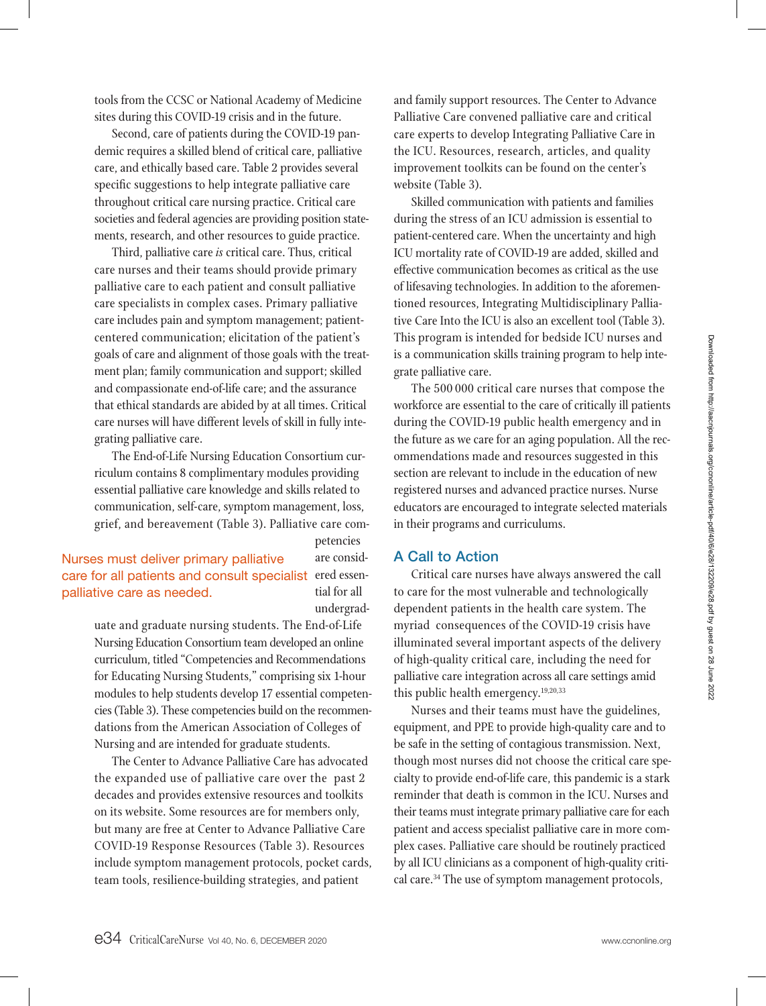tools from the CCSC or National Academy of Medicine sites during this COVID-19 crisis and in the future.

Second, care of patients during the COVID-19 pandemic requires a skilled blend of critical care, palliative care, and ethically based care. Table 2 provides several specific suggestions to help integrate palliative care throughout critical care nursing practice. Critical care societies and federal agencies are providing position statements, research, and other resources to guide practice.

Third, palliative care *is* critical care. Thus, critical care nurses and their teams should provide primary palliative care to each patient and consult palliative care specialists in complex cases. Primary palliative care includes pain and symptom management; patientcentered communication; elicitation of the patient's goals of care and alignment of those goals with the treatment plan; family communication and support; skilled and compassionate end-of-life care; and the assurance that ethical standards are abided by at all times. Critical care nurses will have different levels of skill in fully integrating palliative care.

The End-of-Life Nursing Education Consortium curriculum contains 8 complimentary modules providing essential palliative care knowledge and skills related to communication, self-care, symptom management, loss, grief, and bereavement (Table 3). Palliative care com-

# petencies are considtial for all undergrad-

care for all patients and consult specialist ered essen-Nurses must deliver primary palliative palliative care as needed.

> uate and graduate nursing students. The End-of-Life Nursing Education Consortium team developed an online curriculum, titled "Competencies and Recommendations for Educating Nursing Students," comprising six 1-hour modules to help students develop 17 essential competencies (Table 3). These competencies build on the recommendations from the American Association of Colleges of Nursing and are intended for graduate students.

> The Center to Advance Palliative Care has advocated the expanded use of palliative care over the past 2 decades and provides extensive resources and toolkits on its website. Some resources are for members only, but many are free at Center to Advance Palliative Care COVID-19 Response Resources (Table 3). Resources include symptom management protocols, pocket cards, team tools, resilience-building strategies, and patient

and family support resources. The Center to Advance Palliative Care convened palliative care and critical care experts to develop Integrating Palliative Care in the ICU. Resources, research, articles, and quality improvement toolkits can be found on the center's website (Table 3).

Skilled communication with patients and families during the stress of an ICU admission is essential to patient-centered care. When the uncertainty and high ICU mortality rate of COVID-19 are added, skilled and effective communication becomes as critical as the use of lifesaving technologies. In addition to the aforementioned resources, Integrating Multidisciplinary Palliative Care Into the ICU is also an excellent tool (Table 3). This program is intended for bedside ICU nurses and is a communication skills training program to help integrate palliative care.

The 500 000 critical care nurses that compose the workforce are essential to the care of critically ill patients during the COVID-19 public health emergency and in the future as we care for an aging population. All the recommendations made and resources suggested in this section are relevant to include in the education of new registered nurses and advanced practice nurses. Nurse educators are encouraged to integrate selected materials in their programs and curriculums.

# A Call to Action

Critical care nurses have always answered the call to care for the most vulnerable and technologically dependent patients in the health care system. The myriad consequences of the COVID-19 crisis have illuminated several important aspects of the delivery of high-quality critical care, including the need for palliative care integration across all care settings amid this public health emergency.19,20,33

Nurses and their teams must have the guidelines, equipment, and PPE to provide high-quality care and to be safe in the setting of contagious transmission. Next, though most nurses did not choose the critical care specialty to provide end-of-life care, this pandemic is a stark reminder that death is common in the ICU. Nurses and their teams must integrate primary palliative care for each patient and access specialist palliative care in more complex cases. Palliative care should be routinely practiced by all ICU clinicians as a component of high-quality critical care.34 The use of symptom management protocols,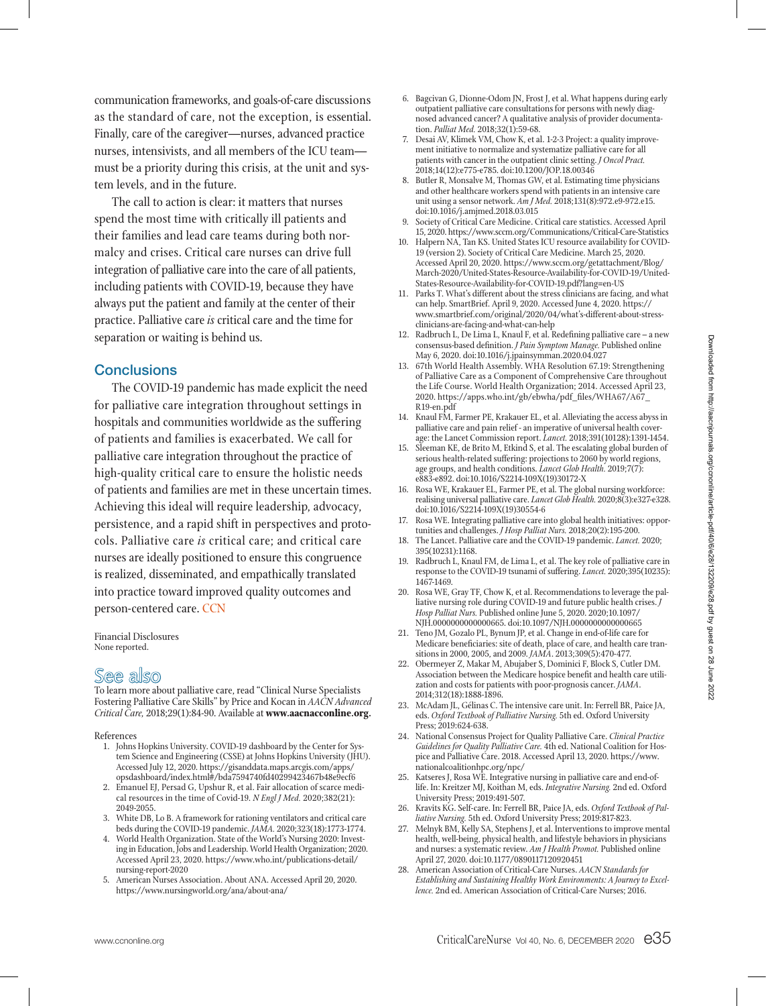communication frameworks, and goals-of-care discussions as the standard of care, not the exception, is essential. Finally, care of the caregiver—nurses, advanced practice nurses, intensivists, and all members of the ICU team must be a priority during this crisis, at the unit and system levels, and in the future.

The call to action is clear: it matters that nurses spend the most time with critically ill patients and their families and lead care teams during both normalcy and crises. Critical care nurses can drive full integration of palliative care into the care of all patients, including patients with COVID-19, because they have always put the patient and family at the center of their practice. Palliative care *is* critical care and the time for separation or waiting is behind us.

## **Conclusions**

The COVID-19 pandemic has made explicit the need for palliative care integration throughout settings in hospitals and communities worldwide as the suffering of patients and families is exacerbated. We call for palliative care integration throughout the practice of high-quality critical care to ensure the holistic needs of patients and families are met in these uncertain times. Achieving this ideal will require leadership, advocacy, persistence, and a rapid shift in perspectives and protocols. Palliative care *is* critical care; and critical care nurses are ideally positioned to ensure this congruence is realized, disseminated, and empathically translated into practice toward improved quality outcomes and person-centered care. CCN

Financial Disclosures None reported.

# See also

To learn more about palliative care, read "Clinical Nurse Specialists Fostering Palliative Care Skills" by Price and Kocan in *AACN Advanced Critical Care,* 2018;29(1):84-90. Available at **www.aacnacconline.org.**

#### References

- 1. Johns Hopkins University. COVID-19 dashboard by the Center for System Science and Engineering (CSSE) at Johns Hopkins University (JHU). Accessed July 12, 2020. https://gisanddata.maps.arcgis.com/apps/ opsdashboard/index.html#/bda7594740fd40299423467b48e9ecf6
- 2. Emanuel EJ, Persad G, Upshur R, et al. Fair allocation of scarce medical resources in the time of Covid-19. *N Engl J Med.* 2020;382(21): 2049-2055.
- 3. White DB, Lo B. A framework for rationing ventilators and critical care beds during the COVID-19 pandemic. *JAMA.* 2020;323(18):1773-1774.
- 4. World Health Organization. State of the World's Nursing 2020: Investing in Education, Jobs and Leadership. World Health Organization; 2020. Accessed April 23, 2020. https://www.who.int/publications-detail/ nursing-report-2020
- 5. American Nurses Association. About ANA. Accessed April 20, 2020. https://www.nursingworld.org/ana/about-ana/
- 6. Bagcivan G, Dionne-Odom JN, Frost J, et al. What happens during early outpatient palliative care consultations for persons with newly diagnosed advanced cancer? A qualitative analysis of provider documentation. *Palliat Med.* 2018;32(1):59-68.
- 7. Desai AV, Klimek VM, Chow K, et al. 1-2-3 Project: a quality improvement initiative to normalize and systematize palliative care for all patients with cancer in the outpatient clinic setting. *J Oncol Pract.*  2018;14(12):e775-e785. doi:10.1200/JOP.18.00346
- 8. Butler R, Monsalve M, Thomas GW, et al. Estimating time physicians and other healthcare workers spend with patients in an intensive care unit using a sensor network. *Am J Med.* 2018;131(8):972.e9-972.e15. doi:10.1016/j.amjmed.2018.03.015
- 9. Society of Critical Care Medicine. Critical care statistics. Accessed April 15, 2020. https://www.sccm.org/Communications/Critical-Care-Statistics
- 10. Halpern NA, Tan KS. United States ICU resource availability for COVID-19 (version 2). Society of Critical Care Medicine. March 25, 2020. Accessed April 20, 2020. https://www.sccm.org/getattachment/Blog/ March-2020/United-States-Resource-Availability-for-COVID-19/United-States-Resource-Availability-for-COVID-19.pdf?lang=en-US
- 11. Parks T. What's different about the stress clinicians are facing, and what can help. SmartBrief. April 9, 2020. Accessed June 4, 2020. https:// www.smartbrief.com/original/2020/04/what's-different-about-stressclinicians-are-facing-and-what-can-help
- 12. Radbruch L, De Lima L, Knaul F, et al. Redefining palliative care a new consensus-based definition. *J Pain Symptom Manage.* Published online May 6, 2020. doi:10.1016/j.jpainsymman.2020.04.027
- 13. 67th World Health Assembly. WHA Resolution 67.19: Strengthening of Palliative Care as a Component of Comprehensive Care throughout the Life Course. World Health Organization; 2014. Accessed April 23, 2020. https://apps.who.int/gb/ebwha/pdf\_files/WHA67/A67\_ R19-en.pdf
- 14. Knaul FM, Farmer PE, Krakauer EL, et al. Alleviating the access abyss in palliative care and pain relief - an imperative of universal health coverage: the Lancet Commission report. *Lancet.* 2018;391(10128):1391-1454.
- 15. Sleeman KE, de Brito M, Etkind S, et al. The escalating global burden of serious health-related suffering: projections to 2060 by world regions, age groups, and health conditions. *Lancet Glob Health.* 2019;7(7): e883-e892. doi:10.1016/S2214-109X(19)30172-X
- 16. Rosa WE, Krakauer EL, Farmer PE, et al. The global nursing workforce: realising universal palliative care. *Lancet Glob Health.* 2020;8(3):e327-e328. doi:10.1016/S2214-109X(19)30554-6
- 17. Rosa WE. Integrating palliative care into global health initiatives: opportunities and challenges. *J Hosp Palliat Nurs.* 2018;20(2):195-200.
- 18. The Lancet. Palliative care and the COVID-19 pandemic. *Lancet.* 2020; 395(10231):1168.
- 19. Radbruch L, Knaul FM, de Lima L, et al. The key role of palliative care in response to the COVID-19 tsunami of suffering. *Lancet.* 2020;395(10235): 1467-1469.
- 20. Rosa WE, Gray TF, Chow K, et al. Recommendations to leverage the palliative nursing role during COVID-19 and future public health crises. *J Hosp Palliat Nurs.* Published online June 5, 2020. 2020;10.1097/ NJH.0000000000000665. doi:10.1097/NJH.0000000000000665
- 21. Teno JM, Gozalo PL, Bynum JP, et al. Change in end-of-life care for Medicare beneficiaries: site of death, place of care, and health care transitions in 2000, 2005, and 2009. *JAMA*. 2013;309(5):470-477.
- 22. Obermeyer Z, Makar M, Abujaber S, Dominici F, Block S, Cutler DM. Association between the Medicare hospice benefit and health care utilization and costs for patients with poor-prognosis cancer. *JAMA*. 2014;312(18):1888-1896.
- 23. McAdam JL, Gélinas C. The intensive care unit. In: Ferrell BR, Paice JA, eds. *Oxford Textbook of Palliative Nursing.* 5th ed. Oxford University Press; 2019:624-638.
- 24. National Consensus Project for Quality Palliative Care. *Clinical Practice Guidelines for Quality Palliative Care.* 4th ed. National Coalition for Hospice and Palliative Care. 2018. Accessed April 13, 2020. https://www. nationalcoalitionhpc.org/npc/
- 25. Katseres J, Rosa WE. Integrative nursing in palliative care and end-oflife. In: Kreitzer MJ, Koithan M, eds. *Integrative Nursing.* 2nd ed. Oxford University Press; 2019:491-507.
- 26. Kravits KG. Self-care. In: Ferrell BR, Paice JA, eds. *Oxford Textbook of Palliative Nursing.* 5th ed. Oxford University Press; 2019:817-823.
- 27. Melnyk BM, Kelly SA, Stephens J, et al. Interventions to improve mental health, well-being, physical health, and lifestyle behaviors in physicians and nurses: a systematic review. *Am J Health Promot.* Published online April 27, 2020. doi:10.1177/0890117120920451
- 28. American Association of Critical-Care Nurses. *AACN Standards for Establishing and Sustaining Healthy Work Environments: A Journey to Excellence.* 2nd ed. American Association of Critical-Care Nurses; 2016.